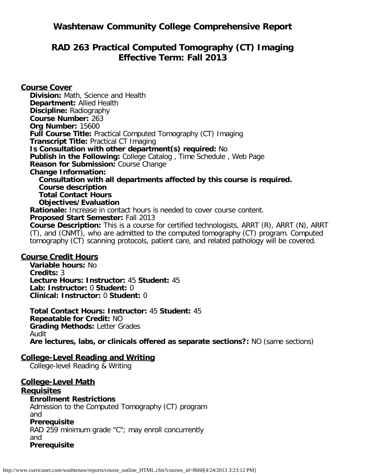## **Washtenaw Community College Comprehensive Report**

## **RAD 263 Practical Computed Tomography (CT) Imaging Effective Term: Fall 2013**

**Course Cover Division:** Math, Science and Health **Department:** Allied Health **Discipline:** Radiography **Course Number:** 263 **Org Number:** 15600 **Full Course Title:** Practical Computed Tomography (CT) Imaging **Transcript Title:** Practical CT Imaging **Is Consultation with other department(s) required:** No **Publish in the Following:** College Catalog , Time Schedule , Web Page **Reason for Submission:** Course Change **Change Information: Consultation with all departments affected by this course is required. Course description Total Contact Hours Objectives/Evaluation Rationale:** Increase in contact hours is needed to cover course content. **Proposed Start Semester:** Fall 2013 **Course Description:** This is a course for certified technologists, ARRT (R), ARRT (N), ARRT (T), and (CNMT), who are admitted to the computed tomography (CT) program. Computed tomography (CT) scanning protocols, patient care, and related pathology will be covered.

#### **Course Credit Hours**

**Variable hours:** No **Credits:** 3 **Lecture Hours: Instructor:** 45 **Student:** 45 **Lab: Instructor:** 0 **Student:** 0 **Clinical: Instructor:** 0 **Student:** 0

**Total Contact Hours: Instructor:** 45 **Student:** 45 **Repeatable for Credit:** NO **Grading Methods:** Letter Grades Audit **Are lectures, labs, or clinicals offered as separate sections?:** NO (same sections)

#### **College-Level Reading and Writing**

College-level Reading & Writing

# **College-Level Math**

#### **Requisites**

**Enrollment Restrictions** Admission to the Computed Tomography (CT) program and **Prerequisite** RAD 259 minimum grade "C"; may enroll concurrently and **Prerequisite**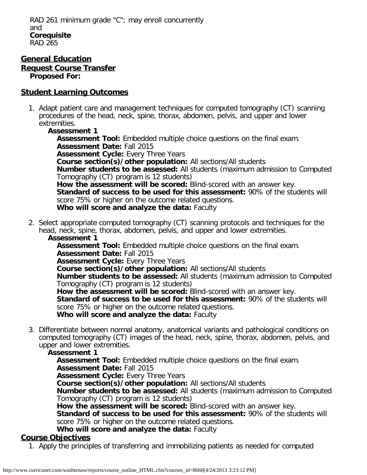#### **General Education Request Course Transfer Proposed For:**

### **Student Learning Outcomes**

- 1. Adapt patient care and management techniques for computed tomography (CT) scanning procedures of the head, neck, spine, thorax, abdomen, pelvis, and upper and lower extremities.
	- **Assessment 1**

**Assessment Tool:** Embedded multiple choice questions on the final exam. **Assessment Date:** Fall 2015 **Assessment Cycle:** Every Three Years **Course section(s)/other population:** All sections/All students **Number students to be assessed:** All students (maximum admission to Computed Tomography (CT) program is 12 students) **How the assessment will be scored:** Blind-scored with an answer key. **Standard of success to be used for this assessment:** 90% of the students will score 75% or higher on the outcome related questions. **Who will score and analyze the data:** Faculty

2. Select appropriate computed tomography (CT) scanning protocols and techniques for the head, neck, spine, thorax, abdomen, pelvis, and upper and lower extremities. **Assessment 1**

**Assessment Tool:** Embedded multiple choice questions on the final exam. **Assessment Date:** Fall 2015

**Assessment Cycle: Every Three Years** 

**Course section(s)/other population:** All sections/All students

**Number students to be assessed:** All students (maximum admission to Computed Tomography (CT) program is 12 students)

**How the assessment will be scored:** Blind-scored with an answer key.

**Standard of success to be used for this assessment:** 90% of the students will score 75% or higher on the outcome related questions.

**Who will score and analyze the data:** Faculty

3. Differentiate between normal anatomy, anatomical variants and pathological conditions on computed tomography (CT) images of the head, neck, spine, thorax, abdomen, pelvis, and upper and lower extremities.

### **Assessment 1**

**Assessment Tool:** Embedded multiple choice questions on the final exam.

**Assessment Date:** Fall 2015

**Assessment Cycle:** Every Three Years

**Course section(s)/other population:** All sections/All students

**Number students to be assessed:** All students (maximum admission to Computed Tomography (CT) program is 12 students)

**How the assessment will be scored:** Blind-scored with an answer key.

**Standard of success to be used for this assessment:** 90% of the students will score 75% or higher on the outcome related questions.

**Who will score and analyze the data:** Faculty

## **Course Objectives**

1. Apply the principles of transferring and immobilizing patients as needed for computed